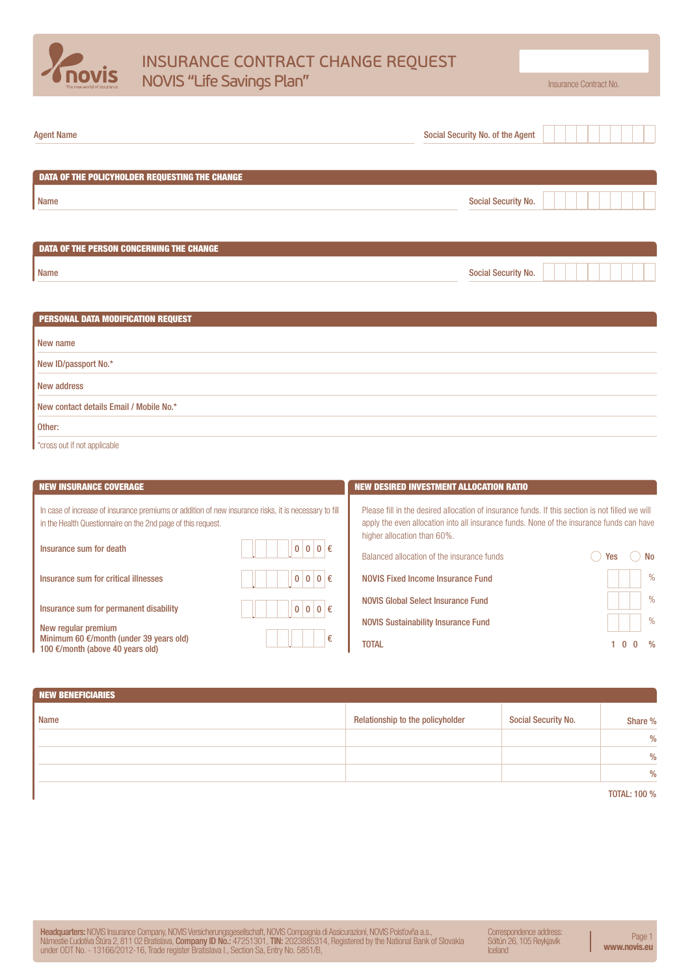

# INSURANCE CONTRACT CHANGE REQUEST NOVIS "Life Savings Plan" **Insurance Contract No.** November 2014

| <b>Agent Name</b>                               | Social Security No. of the Agent |  |
|-------------------------------------------------|----------------------------------|--|
| DATA OF THE POLICYHOLDER REQUESTING THE CHANGE  |                                  |  |
| Name                                            | <b>Social Security No.</b>       |  |
| <b>DATA OF THE PERSON CONCERNING THE CHANGE</b> |                                  |  |
| Name                                            | <b>Social Security No.</b>       |  |
| <b>PERSONAL DATA MODIFICATION REQUEST</b>       |                                  |  |

| $\blacksquare$ . Envents paia moph foarbit hequeur |
|----------------------------------------------------|
|                                                    |
| New name                                           |
| New ID/passport No.*                               |
| New address                                        |
| New contact details Email / Mobile No.*            |
| Other:                                             |
|                                                    |

**t** \*cross out if not applicable

| <b>NEW INSURANCE COVERAGE</b>                                                                                                                                                                                                                                                    | <b>NEW DESIRED INVESTMENT ALLOCATION RATIO</b>                                                                                                                                                                                                                                                                                                     |
|----------------------------------------------------------------------------------------------------------------------------------------------------------------------------------------------------------------------------------------------------------------------------------|----------------------------------------------------------------------------------------------------------------------------------------------------------------------------------------------------------------------------------------------------------------------------------------------------------------------------------------------------|
| In case of increase of insurance premiums or addition of new insurance risks, it is necessary to fill<br>in the Health Questionnaire on the 2nd page of this request.<br>$0 0 0 \in$<br>Insurance sum for death<br>$\bf{0}$<br>$0 0 \in$<br>Insurance sum for critical illnesses | Please fill in the desired allocation of insurance funds. If this section is not filled we will<br>apply the even allocation into all insurance funds. None of the insurance funds can have<br>higher allocation than 60%.<br>Balanced allocation of the insurance funds<br>No<br>Yes<br>$\frac{0}{0}$<br><b>NOVIS Fixed Income Insurance Fund</b> |
| $0 0 0 \in$<br>Insurance sum for permanent disability<br>New regular premium<br>€<br>Minimum 60 $\epsilon$ /month (under 39 years old)<br>100 €/month (above 40 years old)                                                                                                       | $\%$<br>NOVIS Global Select Insurance Fund<br>$\%$<br><b>NOVIS Sustainability Insurance Fund</b><br><b>TOTAL</b><br>$\Omega$<br>$\frac{0}{n}$                                                                                                                                                                                                      |

| <b>NEW BENEFICIARIES</b> |                                  |                            |                     |
|--------------------------|----------------------------------|----------------------------|---------------------|
| Name                     | Relationship to the policyholder | <b>Social Security No.</b> | Share %             |
|                          |                                  |                            | $\frac{0}{0}$       |
|                          |                                  |                            | $\frac{0}{0}$       |
|                          |                                  |                            | $\frac{0}{0}$       |
|                          |                                  |                            | <b>TOTAL: 100 %</b> |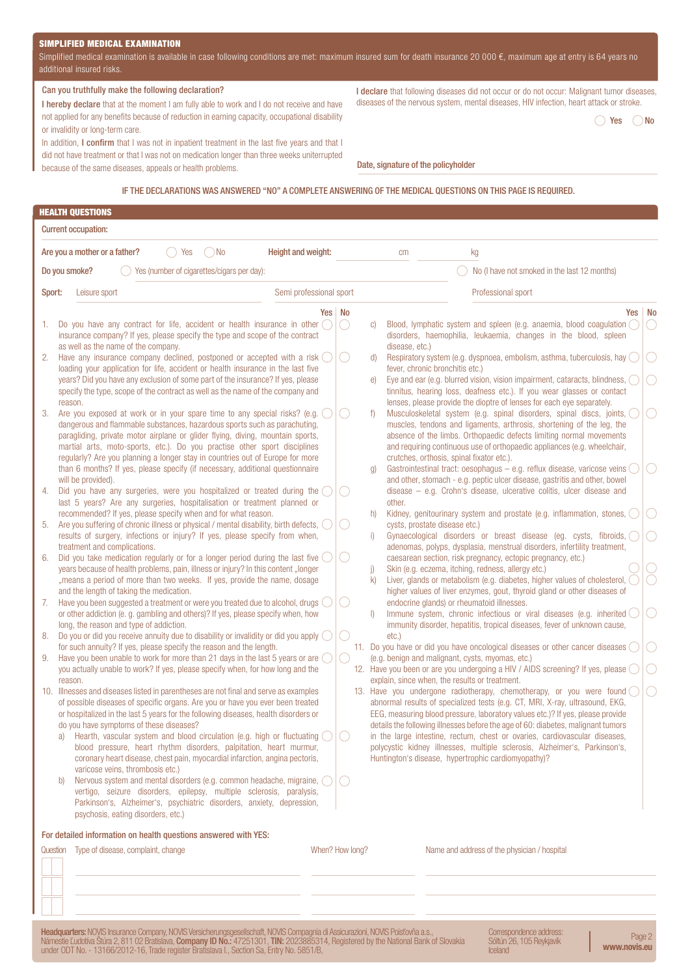## SIMPLIFIED MEDICAL EXAMINATION

Simplified medical examination is available in case following conditions are met: maximum insured sum for death insurance 20 000  $\epsilon$ , maximum age at entry is 64 years no additional insured risks.

#### Can you truthfully make the following declaration?

I hereby declare that at the moment I am fully able to work and I do not receive and have not applied for any benefits because of reduction in earning capacity, occupational disability or invalidity or long-term care.

In addition, I confirm that I was not in inpatient treatment in the last five years and that I did not have treatment or that I was not on medication longer than three weeks uniterrupted because of the same diseases, appeals or health problems.

I declare that following diseases did not occur or do not occur: Malignant tumor diseases, diseases of the nervous system, mental diseases, HIV infection, heart attack or stroke.

 $\bigcirc$  Yes  $\bigcirc$  No

Date, signature of the policyholder

# IF THE DECLARATIONS WAS ANSWERED "NO" A COMPLETE ANSWERING OF THE MEDICAL QUESTIONS ON THIS PAGE IS REQUIRED.

|                                                    | <b>HEALTH QUESTIONS</b>                                                                                                                                                                                                                                                                                                                                                                                                                                                                                                                                                                                                                                                                                                                                                                                                                                                                                                                                                                                                                                                                                                                                                                                                                                                                                                                                                                                                                                                                                                                                                                                                                                                                                                                                                                                                                                                                                                                                                                                                                                                                                                                                                                                                                                                                  |                         |                                                       |                                                                                        |                                                                                    |                                                                                                                                                                                                                                                                                                                                                                                                                                                                                                                                                                                                                                                                                                                                                                                                                                                                                                                                                                                                                                                                                                                                                                                                                                                                                                                                                                                                                                                                                                                                                                                                                                                                                                                                                                                                                                                                                                |    |
|----------------------------------------------------|------------------------------------------------------------------------------------------------------------------------------------------------------------------------------------------------------------------------------------------------------------------------------------------------------------------------------------------------------------------------------------------------------------------------------------------------------------------------------------------------------------------------------------------------------------------------------------------------------------------------------------------------------------------------------------------------------------------------------------------------------------------------------------------------------------------------------------------------------------------------------------------------------------------------------------------------------------------------------------------------------------------------------------------------------------------------------------------------------------------------------------------------------------------------------------------------------------------------------------------------------------------------------------------------------------------------------------------------------------------------------------------------------------------------------------------------------------------------------------------------------------------------------------------------------------------------------------------------------------------------------------------------------------------------------------------------------------------------------------------------------------------------------------------------------------------------------------------------------------------------------------------------------------------------------------------------------------------------------------------------------------------------------------------------------------------------------------------------------------------------------------------------------------------------------------------------------------------------------------------------------------------------------------------|-------------------------|-------------------------------------------------------|----------------------------------------------------------------------------------------|------------------------------------------------------------------------------------|------------------------------------------------------------------------------------------------------------------------------------------------------------------------------------------------------------------------------------------------------------------------------------------------------------------------------------------------------------------------------------------------------------------------------------------------------------------------------------------------------------------------------------------------------------------------------------------------------------------------------------------------------------------------------------------------------------------------------------------------------------------------------------------------------------------------------------------------------------------------------------------------------------------------------------------------------------------------------------------------------------------------------------------------------------------------------------------------------------------------------------------------------------------------------------------------------------------------------------------------------------------------------------------------------------------------------------------------------------------------------------------------------------------------------------------------------------------------------------------------------------------------------------------------------------------------------------------------------------------------------------------------------------------------------------------------------------------------------------------------------------------------------------------------------------------------------------------------------------------------------------------------|----|
|                                                    | <b>Current occupation:</b>                                                                                                                                                                                                                                                                                                                                                                                                                                                                                                                                                                                                                                                                                                                                                                                                                                                                                                                                                                                                                                                                                                                                                                                                                                                                                                                                                                                                                                                                                                                                                                                                                                                                                                                                                                                                                                                                                                                                                                                                                                                                                                                                                                                                                                                               |                         |                                                       |                                                                                        |                                                                                    |                                                                                                                                                                                                                                                                                                                                                                                                                                                                                                                                                                                                                                                                                                                                                                                                                                                                                                                                                                                                                                                                                                                                                                                                                                                                                                                                                                                                                                                                                                                                                                                                                                                                                                                                                                                                                                                                                                |    |
|                                                    | Height and weight:<br>Are you a mother or a father?<br>( )No<br>Yes                                                                                                                                                                                                                                                                                                                                                                                                                                                                                                                                                                                                                                                                                                                                                                                                                                                                                                                                                                                                                                                                                                                                                                                                                                                                                                                                                                                                                                                                                                                                                                                                                                                                                                                                                                                                                                                                                                                                                                                                                                                                                                                                                                                                                      |                         |                                                       |                                                                                        | cm                                                                                 | kg                                                                                                                                                                                                                                                                                                                                                                                                                                                                                                                                                                                                                                                                                                                                                                                                                                                                                                                                                                                                                                                                                                                                                                                                                                                                                                                                                                                                                                                                                                                                                                                                                                                                                                                                                                                                                                                                                             |    |
|                                                    | $\circ$ Yes (number of cigarettes/cigars per day):<br>Do you smoke?                                                                                                                                                                                                                                                                                                                                                                                                                                                                                                                                                                                                                                                                                                                                                                                                                                                                                                                                                                                                                                                                                                                                                                                                                                                                                                                                                                                                                                                                                                                                                                                                                                                                                                                                                                                                                                                                                                                                                                                                                                                                                                                                                                                                                      |                         |                                                       |                                                                                        |                                                                                    | No (I have not smoked in the last 12 months)                                                                                                                                                                                                                                                                                                                                                                                                                                                                                                                                                                                                                                                                                                                                                                                                                                                                                                                                                                                                                                                                                                                                                                                                                                                                                                                                                                                                                                                                                                                                                                                                                                                                                                                                                                                                                                                   |    |
| Sport:                                             | Leisure sport                                                                                                                                                                                                                                                                                                                                                                                                                                                                                                                                                                                                                                                                                                                                                                                                                                                                                                                                                                                                                                                                                                                                                                                                                                                                                                                                                                                                                                                                                                                                                                                                                                                                                                                                                                                                                                                                                                                                                                                                                                                                                                                                                                                                                                                                            | Semi professional sport |                                                       |                                                                                        |                                                                                    | Professional sport                                                                                                                                                                                                                                                                                                                                                                                                                                                                                                                                                                                                                                                                                                                                                                                                                                                                                                                                                                                                                                                                                                                                                                                                                                                                                                                                                                                                                                                                                                                                                                                                                                                                                                                                                                                                                                                                             |    |
|                                                    |                                                                                                                                                                                                                                                                                                                                                                                                                                                                                                                                                                                                                                                                                                                                                                                                                                                                                                                                                                                                                                                                                                                                                                                                                                                                                                                                                                                                                                                                                                                                                                                                                                                                                                                                                                                                                                                                                                                                                                                                                                                                                                                                                                                                                                                                                          |                         |                                                       |                                                                                        |                                                                                    |                                                                                                                                                                                                                                                                                                                                                                                                                                                                                                                                                                                                                                                                                                                                                                                                                                                                                                                                                                                                                                                                                                                                                                                                                                                                                                                                                                                                                                                                                                                                                                                                                                                                                                                                                                                                                                                                                                |    |
| 1.<br>2.<br>3.<br>4.<br>5.<br>6.<br>7.<br>8.<br>9. | Do you have any contract for life, accident or health insurance in other $($ )<br>insurance company? If yes, please specify the type and scope of the contract<br>as well as the name of the company.<br>Have any insurance company declined, postponed or accepted with a risk<br>loading your application for life, accident or health insurance in the last five<br>years? Did you have any exclusion of some part of the insurance? If yes, please<br>specify the type, scope of the contract as well as the name of the company and<br>reason.<br>Are you exposed at work or in your spare time to any special risks? (e.g.<br>dangerous and flammable substances, hazardous sports such as parachuting,<br>paragliding, private motor airplane or glider flying, diving, mountain sports,<br>martial arts, moto-sports, etc.). Do you practise other sport disciplines<br>regularly? Are you planning a longer stay in countries out of Europe for more<br>than 6 months? If yes, please specify (if necessary, additional questionnaire<br>will be provided).<br>Did you have any surgeries, were you hospitalized or treated during the $($ $)$<br>last 5 years? Are any surgeries, hospitalisation or treatment planned or<br>recommended? If yes, please specify when and for what reason.<br>Are you suffering of chronic illness or physical / mental disability, birth defects,<br>results of surgery, infections or injury? If yes, please specify from when,<br>treatment and complications.<br>Did you take medication regularly or for a longer period during the last five<br>years because of health problems, pain, illness or injury? In this content "longer<br>"means a period of more than two weeks. If yes, provide the name, dosage<br>and the length of taking the medication.<br>Have you been suggested a treatment or were you treated due to alcohol, drugs ()<br>or other addiction (e.g. gambling and others)? If yes, please specify when, how<br>long, the reason and type of addiction.<br>Do you or did you receive annuity due to disability or invalidity or did you apply $\bigcirc$<br>for such annuity? If yes, please specify the reason and the length.<br>Have you been unable to work for more than 21 days in the last 5 years or are () | Yes   No                | 0<br>$\left( \quad \right)$<br>$\left( \quad \right)$ | C)<br>d)<br>$\Theta$<br>f<br>q<br>other.<br>h)<br>i)<br>j)<br>k)<br>$\Box$<br>$etc.$ ) | disease, etc.)<br>fever, chronic bronchitis etc.)<br>cysts, prostate disease etc.) | Yes<br>Blood, lymphatic system and spleen (e.g. anaemia, blood coagulation ()<br>disorders, haemophilia, leukaemia, changes in the blood, spleen<br>Respiratory system (e.g. dyspnoea, embolism, asthma, tuberculosis, hay<br>Eye and ear (e.g. blurred vision, vision impairment, cataracts, blindness,<br>tinnitus, hearing loss, deafness etc.). If you wear glasses or contact<br>lenses, please provide the dioptre of lenses for each eye separately.<br>Musculoskeletal system (e.g. spinal disorders, spinal discs, joints,<br>muscles, tendons and ligaments, arthrosis, shortening of the leg, the<br>absence of the limbs. Orthopaedic defects limiting normal movements<br>and requiring continuous use of orthopaedic appliances (e.g. wheelchair,<br>crutches, orthosis, spinal fixator etc.).<br>Gastrointestinal tract: oesophagus - e.g. reflux disease, varicose veins<br>and other, stomach - e.g. peptic ulcer disease, gastritis and other, bowel<br>$disease - e.g.$ Crohn's disease, ulcerative colitis, ulcer disease and<br>Kidney, genitourinary system and prostate (e.g. inflammation, stones,<br>Gynaecological disorders or breast disease (eg. cysts, fibroids,<br>adenomas, polyps, dysplasia, menstrual disorders, infertility treatment,<br>caesarean section, risk pregnancy, ectopic pregnancy, etc.)<br>Skin (e.g. eczema, itching, redness, allergy etc.)<br>Liver, glands or metabolism (e.g. diabetes, higher values of cholesterol,<br>higher values of liver enzymes, gout, thyroid gland or other diseases of<br>endocrine glands) or rheumatoid illnesses.<br>Immune system, chronic infectious or viral diseases (e.g. inherited<br>immunity disorder, hepatitis, tropical diseases, fever of unknown cause,<br>11. Do you have or did you have oncological diseases or other cancer diseases<br>(e.g. benign and malignant, cysts, myomas, etc.) | No |
|                                                    | you actually unable to work? If yes, please specify when, for how long and the                                                                                                                                                                                                                                                                                                                                                                                                                                                                                                                                                                                                                                                                                                                                                                                                                                                                                                                                                                                                                                                                                                                                                                                                                                                                                                                                                                                                                                                                                                                                                                                                                                                                                                                                                                                                                                                                                                                                                                                                                                                                                                                                                                                                           |                         |                                                       |                                                                                        |                                                                                    | 12. Have you been or are you undergoing a HIV / AIDS screening? If yes, please                                                                                                                                                                                                                                                                                                                                                                                                                                                                                                                                                                                                                                                                                                                                                                                                                                                                                                                                                                                                                                                                                                                                                                                                                                                                                                                                                                                                                                                                                                                                                                                                                                                                                                                                                                                                                 |    |
|                                                    | reason.<br>10. Illnesses and diseases listed in parentheses are not final and serve as examples<br>of possible diseases of specific organs. Are you or have you ever been treated<br>or hospitalized in the last 5 years for the following diseases, health disorders or<br>do you have symptoms of these diseases?<br>Hearth, vascular system and blood circulation (e.g. high or fluctuating<br>a)<br>blood pressure, heart rhythm disorders, palpitation, heart murmur,<br>coronary heart disease, chest pain, myocardial infarction, angina pectoris,<br>varicose veins, thrombosis etc.)<br>Nervous system and mental disorders (e.g. common headache, migraine, (<br>b)<br>vertigo, seizure disorders, epilepsy, multiple sclerosis, paralysis,<br>Parkinson's, Alzheimer's, psychiatric disorders, anxiety, depression,<br>psychosis, eating disorders, etc.)                                                                                                                                                                                                                                                                                                                                                                                                                                                                                                                                                                                                                                                                                                                                                                                                                                                                                                                                                                                                                                                                                                                                                                                                                                                                                                                                                                                                                     |                         |                                                       |                                                                                        |                                                                                    | explain, since when, the results or treatment.<br>13. Have you undergone radiotherapy, chemotherapy, or you were found $\bigcirc$<br>abnormal results of specialized tests (e.g. CT, MRI, X-ray, ultrasound, EKG,<br>EEG, measuring blood pressure, laboratory values etc.)? If yes, please provide<br>details the following illnesses before the age of 60: diabetes, malignant tumors<br>in the large intestine, rectum, chest or ovaries, cardiovascular diseases,<br>polycystic kidney illnesses, multiple sclerosis, Alzheimer's, Parkinson's,<br>Huntington's disease, hypertrophic cardiomyopathy)?                                                                                                                                                                                                                                                                                                                                                                                                                                                                                                                                                                                                                                                                                                                                                                                                                                                                                                                                                                                                                                                                                                                                                                                                                                                                                     |    |
|                                                    | For detailed information on health questions answered with YES:                                                                                                                                                                                                                                                                                                                                                                                                                                                                                                                                                                                                                                                                                                                                                                                                                                                                                                                                                                                                                                                                                                                                                                                                                                                                                                                                                                                                                                                                                                                                                                                                                                                                                                                                                                                                                                                                                                                                                                                                                                                                                                                                                                                                                          |                         |                                                       |                                                                                        |                                                                                    |                                                                                                                                                                                                                                                                                                                                                                                                                                                                                                                                                                                                                                                                                                                                                                                                                                                                                                                                                                                                                                                                                                                                                                                                                                                                                                                                                                                                                                                                                                                                                                                                                                                                                                                                                                                                                                                                                                |    |
|                                                    | Question Type of disease, complaint, change                                                                                                                                                                                                                                                                                                                                                                                                                                                                                                                                                                                                                                                                                                                                                                                                                                                                                                                                                                                                                                                                                                                                                                                                                                                                                                                                                                                                                                                                                                                                                                                                                                                                                                                                                                                                                                                                                                                                                                                                                                                                                                                                                                                                                                              | When? How long?         |                                                       |                                                                                        |                                                                                    | Name and address of the physician / hospital                                                                                                                                                                                                                                                                                                                                                                                                                                                                                                                                                                                                                                                                                                                                                                                                                                                                                                                                                                                                                                                                                                                                                                                                                                                                                                                                                                                                                                                                                                                                                                                                                                                                                                                                                                                                                                                   |    |

**Headquarters:** NOVIS Insurance Company, NOVIS Versicherungsgesellschaft, NOVIS Compagnia di Assicurazioni, NOVIS Poisťovňa a.s.,<br>Námestie Ľudotíva Štúra 2, 811 02 Bratislava**, Company ID No.:** 47251301, **TIN:** 2023885314,

Correspondence address: Sóltún 26, 105 Reykjavík **Iceland** 

Page 2 www.novis.eu